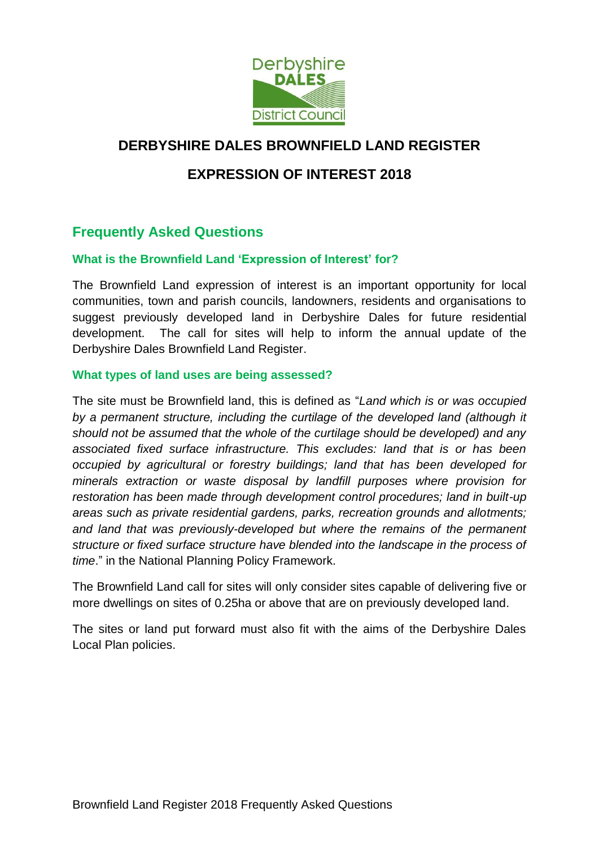

# **DERBYSHIRE DALES BROWNFIELD LAND REGISTER**

## **EXPRESSION OF INTEREST 2018**

## **Frequently Asked Questions**

#### **What is the Brownfield Land 'Expression of Interest' for?**

The Brownfield Land expression of interest is an important opportunity for local communities, town and parish councils, landowners, residents and organisations to suggest previously developed land in Derbyshire Dales for future residential development. The call for sites will help to inform the annual update of the Derbyshire Dales Brownfield Land Register.

#### **What types of land uses are being assessed?**

The site must be Brownfield land, this is defined as "*Land which is or was occupied by a permanent structure, including the curtilage of the developed land (although it should not be assumed that the whole of the curtilage should be developed) and any associated fixed surface infrastructure. This excludes: land that is or has been occupied by agricultural or forestry buildings; land that has been developed for minerals extraction or waste disposal by landfill purposes where provision for restoration has been made through development control procedures; land in built-up areas such as private residential gardens, parks, recreation grounds and allotments; and land that was previously-developed but where the remains of the permanent structure or fixed surface structure have blended into the landscape in the process of time*." in the National Planning Policy Framework.

The Brownfield Land call for sites will only consider sites capable of delivering five or more dwellings on sites of 0.25ha or above that are on previously developed land.

The sites or land put forward must also fit with the aims of the Derbyshire Dales Local Plan policies.